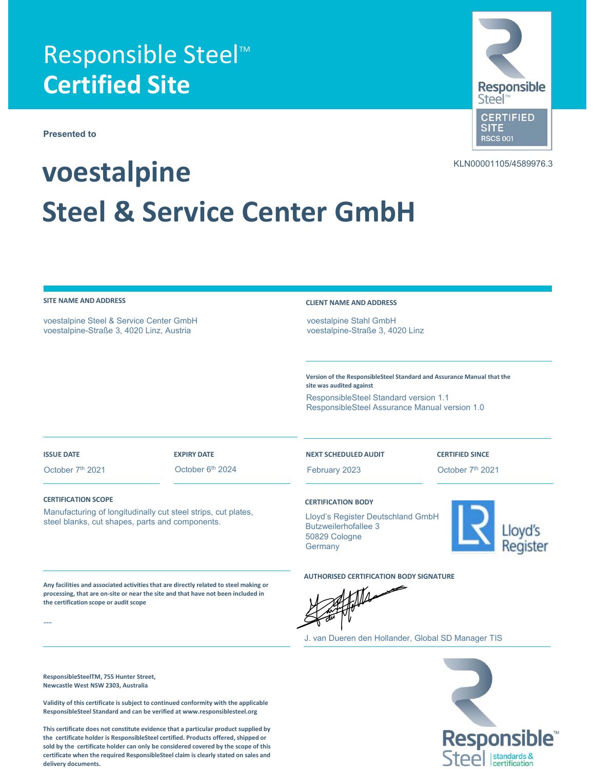## **Responsible Steel™ Certified Site**

**Presented to**

# **voestalpine Steel & Service Center GmbH**

voestalpine Steel & Service Center GmbH voestalpine-Straße 3, 4020 Linz, Austria

### **SITE NAME AND ADDRESS CLIENT NAME AND ADDRESS**

voestalpine Stahl GmbH voestalpine-Straße 3, 4020 Linz

**Version of the ResponsibleSteel Standard and Assurance Manual that the site was audited against** ResponsibleSteel Standard version 1.1 ResponsibleSteel Assurance Manual version 1.0

---

October 7<sup>th</sup> 2021 **October 6<sup>th</sup>** 2024 **February 2023** October 7<sup>th</sup> 2021

#### **ISSUE DATE EXPIRY DATE NEXT SCHEDULED AUDIT CERTIFIED SINCE**

### **CERTIFICATION SCOPE CERTIFICATION BODY**

**the certification scope or audit scope**

**ResponsibleSteelTM, 755 Hunter Street, Newcastle West NSW 2303, Australia**

Manufacturing of longitudinally cut steel strips, cut plates, steel blanks, cut shapes, parts and components.

**Any facilities and associated activities that are directly related to steel making or processing, that are on‐site or near the site and that have not been included in**

Lloyd's Register Deutschland GmbH Butzweilerhofallee 3 50829 Cologne **Germany** 

**AUTHORISED CERTIFICATION BODY SIGNATURE**

$$
\frac{1}{2} = \frac{1}{2}
$$

J. van Dueren den Hollander, Global SD Manager TIS

**Validity of this certificate is subject to continued conformity with the applicable ResponsibleSteel Standard and can be verified at www.responsiblesteel.org**

**This certificate does not constitute evidence that a particular product supplied by the certificate holder is ResponsibleSteel certified. Products offered, shipped or sold by the certificate holder can only be considered covered by the scope of this certificate when the required ResponsibleSteel claim is clearly stated on sales and delivery documents.**





KLN00001105/4589976.3